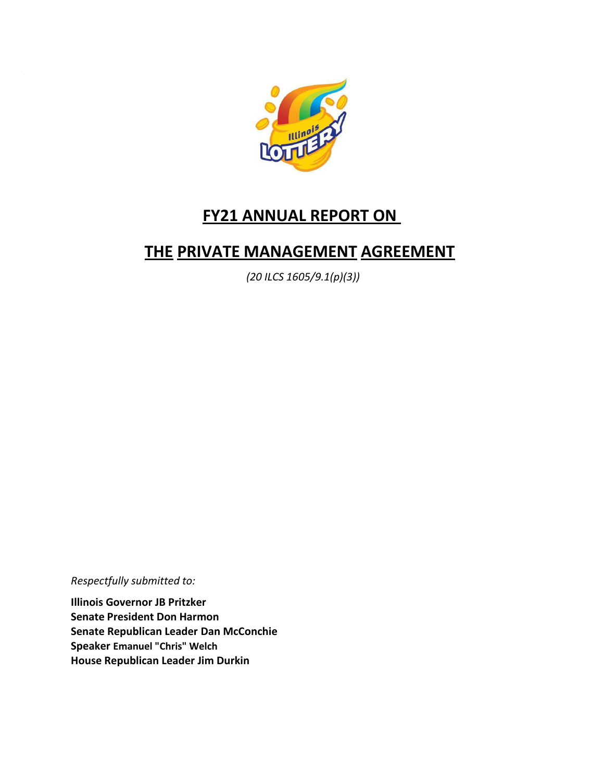

# **FY21 ANNUAL REPORT ON**

# **THE PRIVATE MANAGEMENT AGREEMENT**

*(20 ILCS 1605/9.1(p)(3))*

*Respectfully submitted to:*

**Illinois Governor JB Pritzker Senate President Don Harmon Senate Republican Leader Dan McConchie Speaker Emanuel "Chris" Welch House Republican Leader Jim Durkin**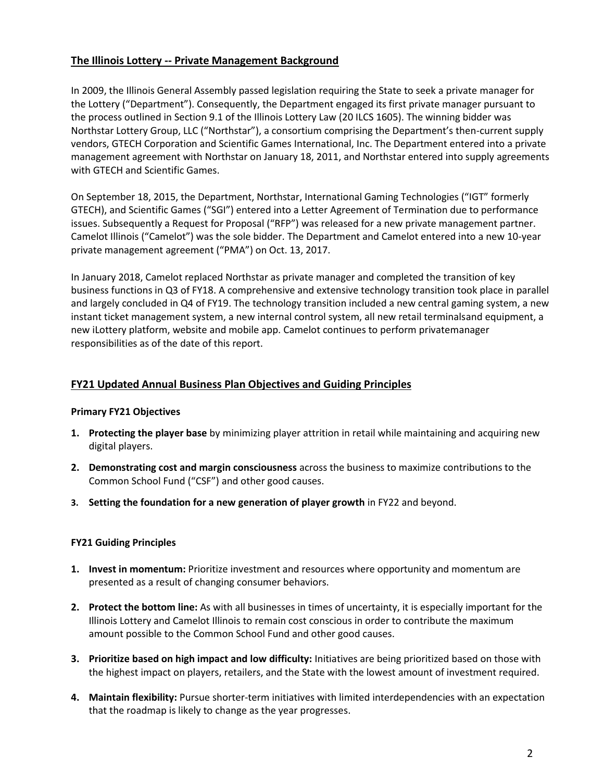## **The Illinois Lottery -- Private Management Background**

In 2009, the Illinois General Assembly passed legislation requiring the State to seek a private manager for the Lottery ("Department"). Consequently, the Department engaged its first private manager pursuant to the process outlined in Section 9.1 of the Illinois Lottery Law (20 ILCS 1605). The winning bidder was Northstar Lottery Group, LLC ("Northstar"), a consortium comprising the Department's then-current supply vendors, GTECH Corporation and Scientific Games International, Inc. The Department entered into a private management agreement with Northstar on January 18, 2011, and Northstar entered into supply agreements with GTECH and Scientific Games.

On September 18, 2015, the Department, Northstar, International Gaming Technologies ("IGT" formerly GTECH), and Scientific Games ("SGI") entered into a Letter Agreement of Termination due to performance issues. Subsequently a Request for Proposal ("RFP") was released for a new private management partner. Camelot Illinois ("Camelot") was the sole bidder. The Department and Camelot entered into a new 10-year private management agreement ("PMA") on Oct. 13, 2017.

In January 2018, Camelot replaced Northstar as private manager and completed the transition of key business functions in Q3 of FY18. A comprehensive and extensive technology transition took place in parallel and largely concluded in Q4 of FY19. The technology transition included a new central gaming system, a new instant ticket management system, a new internal control system, all new retail terminalsand equipment, a new iLottery platform, website and mobile app. Camelot continues to perform privatemanager responsibilities as of the date of this report.

## **FY21 Updated Annual Business Plan Objectives and Guiding Principles**

#### **Primary FY21 Objectives**

- **1. Protecting the player base** by minimizing player attrition in retail while maintaining and acquiring new digital players.
- **2. Demonstrating cost and margin consciousness** across the business to maximize contributions to the Common School Fund ("CSF") and other good causes.
- **3. Setting the foundation for a new generation of player growth** in FY22 and beyond.

#### **FY21 Guiding Principles**

- **1. Invest in momentum:** Prioritize investment and resources where opportunity and momentum are presented as a result of changing consumer behaviors.
- **2. Protect the bottom line:** As with all businesses in times of uncertainty, it is especially important for the Illinois Lottery and Camelot Illinois to remain cost conscious in order to contribute the maximum amount possible to the Common School Fund and other good causes.
- **3. Prioritize based on high impact and low difficulty:** Initiatives are being prioritized based on those with the highest impact on players, retailers, and the State with the lowest amount of investment required.
- **4. Maintain flexibility:** Pursue shorter-term initiatives with limited interdependencies with an expectation that the roadmap is likely to change as the year progresses.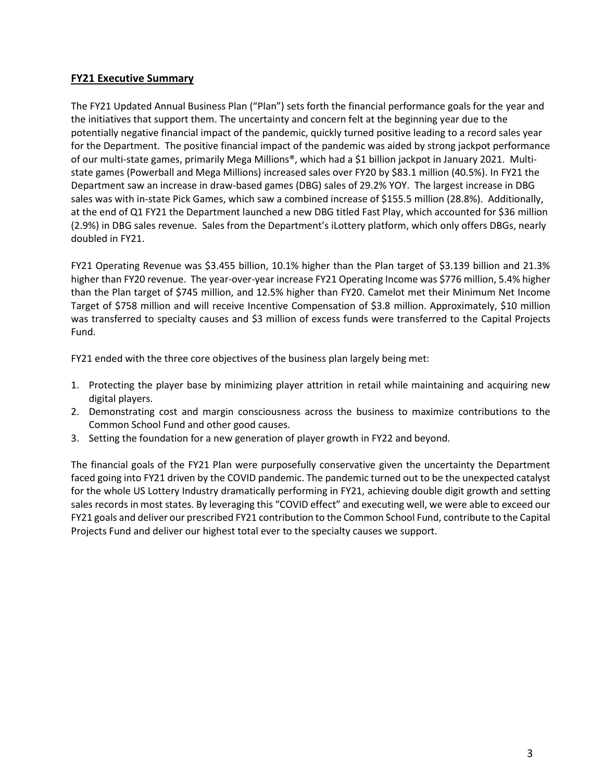## **FY21 Executive Summary**

The FY21 Updated Annual Business Plan ("Plan") sets forth the financial performance goals for the year and the initiatives that support them. The uncertainty and concern felt at the beginning year due to the potentially negative financial impact of the pandemic, quickly turned positive leading to a record sales year for the Department. The positive financial impact of the pandemic was aided by strong jackpot performance of our multi-state games, primarily Mega Millions®, which had a \$1 billion jackpot in January 2021. Multistate games (Powerball and Mega Millions) increased sales over FY20 by \$83.1 million (40.5%). In FY21 the Department saw an increase in draw-based games (DBG) sales of 29.2% YOY. The largest increase in DBG sales was with in-state Pick Games, which saw a combined increase of \$155.5 million (28.8%). Additionally, at the end of Q1 FY21 the Department launched a new DBG titled Fast Play, which accounted for \$36 million (2.9%) in DBG sales revenue. Sales from the Department's iLottery platform, which only offers DBGs, nearly doubled in FY21.

FY21 Operating Revenue was \$3.455 billion, 10.1% higher than the Plan target of \$3.139 billion and 21.3% higher than FY20 revenue. The year-over-year increase FY21 Operating Income was \$776 million, 5.4% higher than the Plan target of \$745 million, and 12.5% higher than FY20. Camelot met their Minimum Net Income Target of \$758 million and will receive Incentive Compensation of \$3.8 million. Approximately, \$10 million was transferred to specialty causes and \$3 million of excess funds were transferred to the Capital Projects Fund.

FY21 ended with the three core objectives of the business plan largely being met:

- 1. Protecting the player base by minimizing player attrition in retail while maintaining and acquiring new digital players.
- 2. Demonstrating cost and margin consciousness across the business to maximize contributions to the Common School Fund and other good causes.
- 3. Setting the foundation for a new generation of player growth in FY22 and beyond.

The financial goals of the FY21 Plan were purposefully conservative given the uncertainty the Department faced going into FY21 driven by the COVID pandemic. The pandemic turned out to be the unexpected catalyst for the whole US Lottery Industry dramatically performing in FY21, achieving double digit growth and setting sales records in most states. By leveraging this "COVID effect" and executing well, we were able to exceed our FY21 goals and deliver our prescribed FY21 contribution to the Common School Fund, contribute to the Capital Projects Fund and deliver our highest total ever to the specialty causes we support.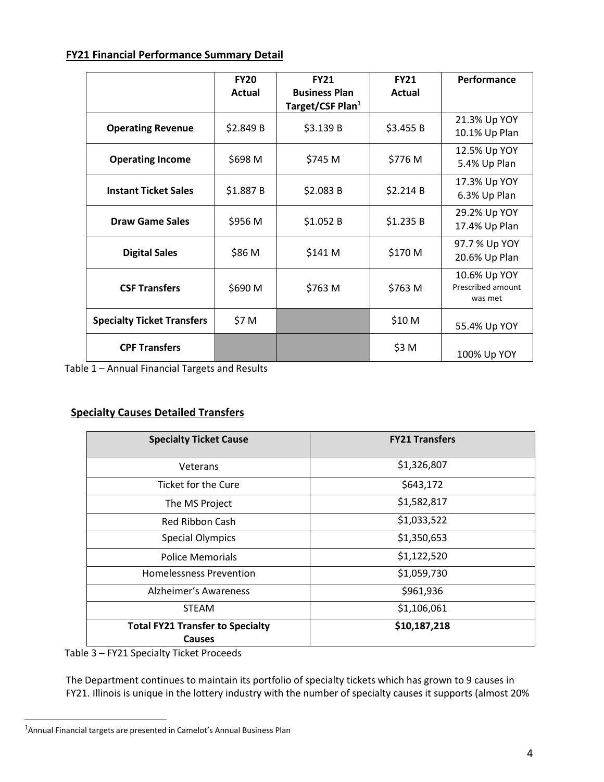# **FY21 Financial Performance Summary Detail**

|                                   | <b>FY20</b><br><b>Actual</b> | <b>FY21</b><br><b>Business Plan</b> | <b>FY21</b><br><b>Actual</b> | Performance                                  |
|-----------------------------------|------------------------------|-------------------------------------|------------------------------|----------------------------------------------|
|                                   |                              | Target/CSF Plan <sup>1</sup>        |                              |                                              |
| <b>Operating Revenue</b>          | \$2.849 B                    | \$3.139 B                           | \$3.455 B                    | 21.3% Up YOY<br>10.1% Up Plan                |
| <b>Operating Income</b>           | \$698 M                      | \$745 M                             | \$776 M                      | 12.5% Up YOY<br>5.4% Up Plan                 |
| <b>Instant Ticket Sales</b>       | \$1.887B                     | \$2.083B                            | \$2.214B                     | 17.3% Up YOY<br>6.3% Up Plan                 |
| <b>Draw Game Sales</b>            | \$956 M                      | \$1.052B                            | \$1.235 B                    | 29.2% Up YOY<br>17.4% Up Plan                |
| <b>Digital Sales</b>              | \$86 M                       | \$141 M                             | \$170 M                      | 97.7 % Up YOY<br>20.6% Up Plan               |
| <b>CSF Transfers</b>              | \$690 M                      | \$763 M                             | \$763 M                      | 10.6% Up YOY<br>Prescribed amount<br>was met |
| <b>Specialty Ticket Transfers</b> | \$7 M                        |                                     | \$10 M                       | 55.4% Up YOY                                 |
| <b>CPF Transfers</b>              |                              |                                     | \$3 M                        | 100% Up YOY                                  |

Table 1 – Annual Financial Targets and Results

# **Specialty Causes Detailed Transfers**

| <b>Specialty Ticket Cause</b>                            | <b>FY21 Transfers</b> |  |  |
|----------------------------------------------------------|-----------------------|--|--|
| Veterans                                                 | \$1,326,807           |  |  |
| Ticket for the Cure                                      | \$643,172             |  |  |
| The MS Project                                           | \$1,582,817           |  |  |
| Red Ribbon Cash                                          | \$1,033,522           |  |  |
| <b>Special Olympics</b>                                  | \$1,350,653           |  |  |
| <b>Police Memorials</b>                                  | \$1,122,520           |  |  |
| <b>Homelessness Prevention</b>                           | \$1,059,730           |  |  |
| Alzheimer's Awareness                                    | \$961,936             |  |  |
| <b>STEAM</b>                                             | \$1,106,061           |  |  |
| <b>Total FY21 Transfer to Specialty</b><br><b>Causes</b> | \$10,187,218          |  |  |

Table 3 – FY21 Specialty Ticket Proceeds

The Department continues to maintain its portfolio of specialty tickets which has grown to 9 causes in FY21. Illinois is unique in the lottery industry with the number of specialty causes it supports (almost 20%

 $<sup>1</sup>$ Annual Financial targets are presented in Camelot's Annual Business Plan</sup>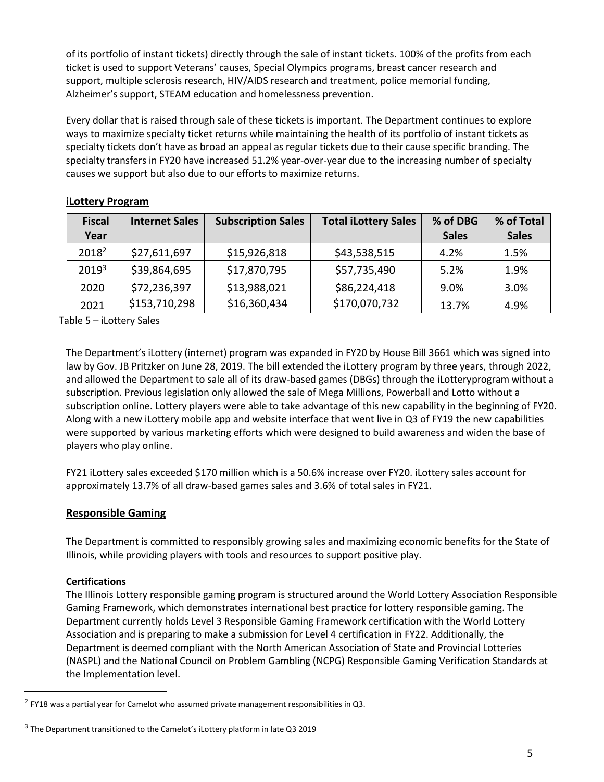of its portfolio of instant tickets) directly through the sale of instant tickets. 100% of the profits from each ticket is used to support Veterans' causes, Special Olympics programs, breast cancer research and support, multiple sclerosis research, HIV/AIDS research and treatment, police memorial funding, Alzheimer's support, STEAM education and homelessness prevention.

Every dollar that is raised through sale of these tickets is important. The Department continues to explore ways to maximize specialty ticket returns while maintaining the health of its portfolio of instant tickets as specialty tickets don't have as broad an appeal as regular tickets due to their cause specific branding. The specialty transfers in FY20 have increased 51.2% year-over-year due to the increasing number of specialty causes we support but also due to our efforts to maximize returns.

| <b>Fiscal</b><br>Year | <b>Internet Sales</b> | <b>Subscription Sales</b> | <b>Total iLottery Sales</b> | % of DBG<br><b>Sales</b> | % of Total<br><b>Sales</b> |
|-----------------------|-----------------------|---------------------------|-----------------------------|--------------------------|----------------------------|
| 2018 <sup>2</sup>     | \$27,611,697          | \$15,926,818              | \$43,538,515                | 4.2%                     | 1.5%                       |
| 20193                 | \$39,864,695          | \$17,870,795              | \$57,735,490                | 5.2%                     | 1.9%                       |
| 2020                  | \$72,236,397          | \$13,988,021              | \$86,224,418                | 9.0%                     | 3.0%                       |
| 2021                  | \$153,710,298         | \$16,360,434              | \$170,070,732               | 13.7%                    | 4.9%                       |

## **iLottery Program**

Table 5 – iLottery Sales

The Department's iLottery (internet) program was expanded in FY20 by House Bill 3661 which was signed into law by Gov. JB Pritzker on June 28, 2019. The bill extended the iLottery program by three years, through 2022, and allowed the Department to sale all of its draw-based games (DBGs) through the iLotteryprogram without a subscription. Previous legislation only allowed the sale of Mega Millions, Powerball and Lotto without a subscription online. Lottery players were able to take advantage of this new capability in the beginning of FY20. Along with a new iLottery mobile app and website interface that went live in Q3 of FY19 the new capabilities were supported by various marketing efforts which were designed to build awareness and widen the base of players who play online.

FY21 iLottery sales exceeded \$170 million which is a 50.6% increase over FY20. iLottery sales account for approximately 13.7% of all draw-based games sales and 3.6% of total sales in FY21.

# **Responsible Gaming**

The Department is committed to responsibly growing sales and maximizing economic benefits for the State of Illinois, while providing players with tools and resources to support positive play.

## **Certifications**

The Illinois Lottery responsible gaming program is structured around the World Lottery Association Responsible Gaming Framework, which demonstrates international best practice for lottery responsible gaming. The Department currently holds Level 3 Responsible Gaming Framework certification with the World Lottery Association and is preparing to make a submission for Level 4 certification in FY22. Additionally, the Department is deemed compliant with the North American Association of State and Provincial Lotteries (NASPL) and the National Council on Problem Gambling (NCPG) Responsible Gaming Verification Standards at the Implementation level.

 $^2$  FY18 was a partial year for Camelot who assumed private management responsibilities in Q3.

 $3$  The Department transitioned to the Camelot's iLottery platform in late Q3 2019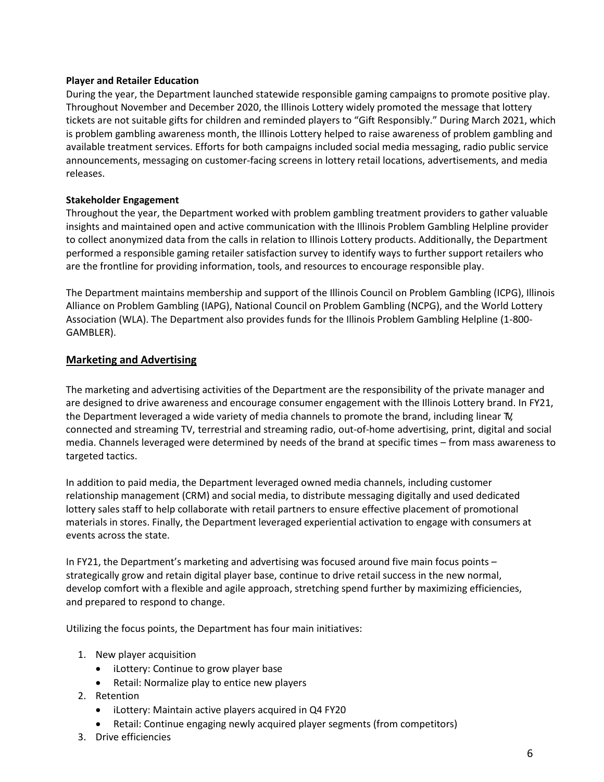#### **Player and Retailer Education**

During the year, the Department launched statewide responsible gaming campaigns to promote positive play. Throughout November and December 2020, the Illinois Lottery widely promoted the message that lottery tickets are not suitable gifts for children and reminded players to "Gift Responsibly." During March 2021, which is problem gambling awareness month, the Illinois Lottery helped to raise awareness of problem gambling and available treatment services. Efforts for both campaigns included social media messaging, radio public service announcements, messaging on customer-facing screens in lottery retail locations, advertisements, and media releases.

#### **Stakeholder Engagement**

Throughout the year, the Department worked with problem gambling treatment providers to gather valuable insights and maintained open and active communication with the Illinois Problem Gambling Helpline provider to collect anonymized data from the calls in relation to Illinois Lottery products. Additionally, the Department performed a responsible gaming retailer satisfaction survey to identify ways to further support retailers who are the frontline for providing information, tools, and resources to encourage responsible play.

The Department maintains membership and support of the Illinois Council on Problem Gambling (ICPG), Illinois Alliance on Problem Gambling (IAPG), National Council on Problem Gambling (NCPG), and the World Lottery Association (WLA). The Department also provides funds for the Illinois Problem Gambling Helpline (1-800- GAMBLER).

## **Marketing and Advertising**

The marketing and advertising activities of the Department are the responsibility of the private manager and are designed to drive awareness and encourage consumer engagement with the Illinois Lottery brand. In FY21, the Department leveraged a wide variety of media channels to promote the brand, including linear TV, connected and streaming TV, terrestrial and streaming radio, out-of-home advertising, print, digital and social media. Channels leveraged were determined by needs of the brand at specific times – from mass awareness to targeted tactics.

In addition to paid media, the Department leveraged owned media channels, including customer relationship management (CRM) and social media, to distribute messaging digitally and used dedicated lottery sales staff to help collaborate with retail partners to ensure effective placement of promotional materials in stores. Finally, the Department leveraged experiential activation to engage with consumers at events across the state.

In FY21, the Department's marketing and advertising was focused around five main focus points – strategically grow and retain digital player base, continue to drive retail success in the new normal, develop comfort with a flexible and agile approach, stretching spend further by maximizing efficiencies, and prepared to respond to change.

Utilizing the focus points, the Department has four main initiatives:

- 1. New player acquisition
	- iLottery: Continue to grow player base
	- Retail: Normalize play to entice new players
- 2. Retention
	- iLottery: Maintain active players acquired in Q4 FY20
	- Retail: Continue engaging newly acquired player segments (from competitors)
- 3. Drive efficiencies